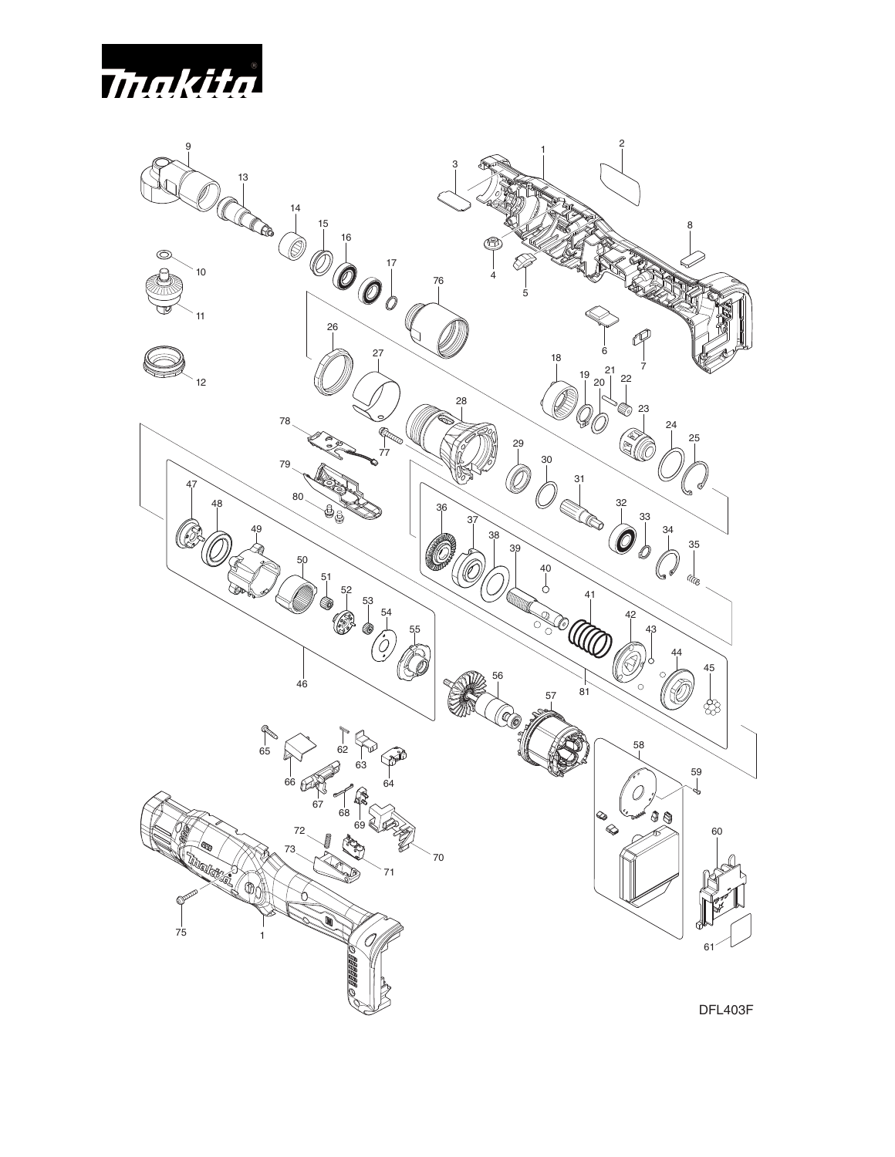

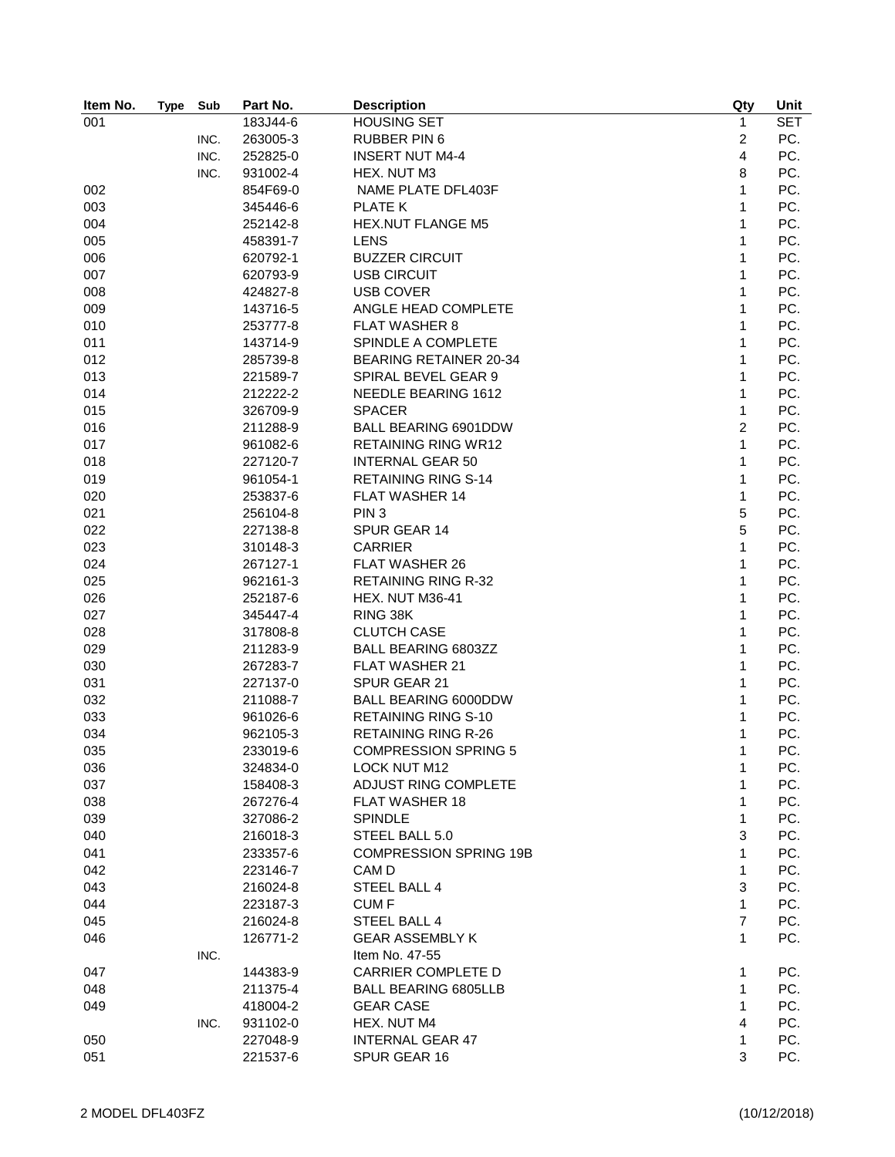| Item No. | <b>Type</b> | Sub  | Part No. | <b>Description</b>            | Qty            | Unit       |
|----------|-------------|------|----------|-------------------------------|----------------|------------|
| 001      |             |      | 183J44-6 | <b>HOUSING SET</b>            | $\mathbf{1}$   | <b>SET</b> |
|          |             | INC. | 263005-3 | <b>RUBBER PIN 6</b>           | 2              | PC.        |
|          |             | INC. | 252825-0 | <b>INSERT NUT M4-4</b>        | 4              | PC.        |
|          |             | INC. | 931002-4 | HEX. NUT M3                   | 8              | PC.        |
| 002      |             |      | 854F69-0 | NAME PLATE DFL403F            | 1              | PC.        |
| 003      |             |      | 345446-6 | PLATE K                       | 1              | PC.        |
| 004      |             |      | 252142-8 | <b>HEX.NUT FLANGE M5</b>      | 1              | PC.        |
| 005      |             |      | 458391-7 | <b>LENS</b>                   | $\mathbf{1}$   | PC.        |
| 006      |             |      | 620792-1 | <b>BUZZER CIRCUIT</b>         | $\mathbf{1}$   | PC.        |
| 007      |             |      | 620793-9 | <b>USB CIRCUIT</b>            | 1              | PC.        |
| 008      |             |      | 424827-8 | <b>USB COVER</b>              | $\mathbf{1}$   | PC.        |
| 009      |             |      | 143716-5 | ANGLE HEAD COMPLETE           | $\mathbf{1}$   | PC.        |
| 010      |             |      | 253777-8 | <b>FLAT WASHER 8</b>          | 1              | PC.        |
| 011      |             |      | 143714-9 | SPINDLE A COMPLETE            | 1              | PC.        |
| 012      |             |      | 285739-8 | <b>BEARING RETAINER 20-34</b> | 1              | PC.        |
| 013      |             |      | 221589-7 | SPIRAL BEVEL GEAR 9           | $\mathbf{1}$   | PC.        |
| 014      |             |      | 212222-2 | NEEDLE BEARING 1612           | 1              | PC.        |
| 015      |             |      | 326709-9 | <b>SPACER</b>                 | $\mathbf{1}$   | PC.        |
| 016      |             |      | 211288-9 | <b>BALL BEARING 6901DDW</b>   | $\overline{c}$ | PC.        |
| 017      |             |      | 961082-6 | <b>RETAINING RING WR12</b>    | 1              | PC.        |
| 018      |             |      | 227120-7 | <b>INTERNAL GEAR 50</b>       | 1              | PC.        |
| 019      |             |      | 961054-1 | <b>RETAINING RING S-14</b>    | 1              | PC.        |
| 020      |             |      | 253837-6 | <b>FLAT WASHER 14</b>         | $\mathbf{1}$   | PC.        |
| 021      |             |      | 256104-8 | PIN <sub>3</sub>              | 5              | PC.        |
| 022      |             |      | 227138-8 | SPUR GEAR 14                  | $\overline{5}$ | PC.        |
| 023      |             |      | 310148-3 | <b>CARRIER</b>                | 1              | PC.        |
| 024      |             |      | 267127-1 | <b>FLAT WASHER 26</b>         | $\mathbf{1}$   | PC.        |
| 025      |             |      | 962161-3 | <b>RETAINING RING R-32</b>    | $\mathbf{1}$   | PC.        |
| 026      |             |      | 252187-6 | HEX. NUT M36-41               | $\mathbf{1}$   | PC.        |
| 027      |             |      | 345447-4 | RING 38K                      | $\mathbf{1}$   | PC.        |
| 028      |             |      | 317808-8 | <b>CLUTCH CASE</b>            | 1              | PC.        |
| 029      |             |      | 211283-9 | BALL BEARING 6803ZZ           | $\mathbf{1}$   | PC.        |
| 030      |             |      | 267283-7 | FLAT WASHER 21                | $\mathbf{1}$   | PC.        |
| 031      |             |      | 227137-0 | SPUR GEAR 21                  | 1              | PC.        |
| 032      |             |      | 211088-7 | <b>BALL BEARING 6000DDW</b>   | 1              | PC.        |
| 033      |             |      | 961026-6 | <b>RETAINING RING S-10</b>    | 1              | PC.        |
| 034      |             |      | 962105-3 | <b>RETAINING RING R-26</b>    | 1              | PC.        |
| 035      |             |      | 233019-6 | <b>COMPRESSION SPRING 5</b>   | 1              | PC.        |
| 036      |             |      | 324834-0 | LOCK NUT M12                  | 1              | PC.        |
| 037      |             |      | 158408-3 | ADJUST RING COMPLETE          | 1              | PC.        |
| 038      |             |      | 267276-4 | <b>FLAT WASHER 18</b>         | 1              | PC.        |
| 039      |             |      | 327086-2 | <b>SPINDLE</b>                | $\mathbf{1}$   | PC.        |
| 040      |             |      | 216018-3 | STEEL BALL 5.0                | 3              | PC.        |
| 041      |             |      | 233357-6 | <b>COMPRESSION SPRING 19B</b> | 1              | PC.        |
| 042      |             |      |          | CAM D                         | 1              | PC.        |
|          |             |      | 223146-7 |                               |                |            |
| 043      |             |      | 216024-8 | STEEL BALL 4                  | 3              | PC.        |
| 044      |             |      | 223187-3 | CUM F                         | 1              | PC.        |
| 045      |             |      | 216024-8 | STEEL BALL 4                  | $\overline{7}$ | PC.        |
| 046      |             |      | 126771-2 | <b>GEAR ASSEMBLY K</b>        | 1              | PC.        |
|          |             | INC. |          | Item No. 47-55                |                |            |
| 047      |             |      | 144383-9 | <b>CARRIER COMPLETE D</b>     | 1              | PC.        |
| 048      |             |      | 211375-4 | <b>BALL BEARING 6805LLB</b>   | 1              | PC.        |
| 049      |             |      | 418004-2 | <b>GEAR CASE</b>              | $\mathbf{1}$   | PC.        |
|          |             | INC. | 931102-0 | HEX. NUT M4                   | 4              | PC.        |
| 050      |             |      | 227048-9 | <b>INTERNAL GEAR 47</b>       | 1              | PC.        |
| 051      |             |      | 221537-6 | SPUR GEAR 16                  | 3              | PC.        |